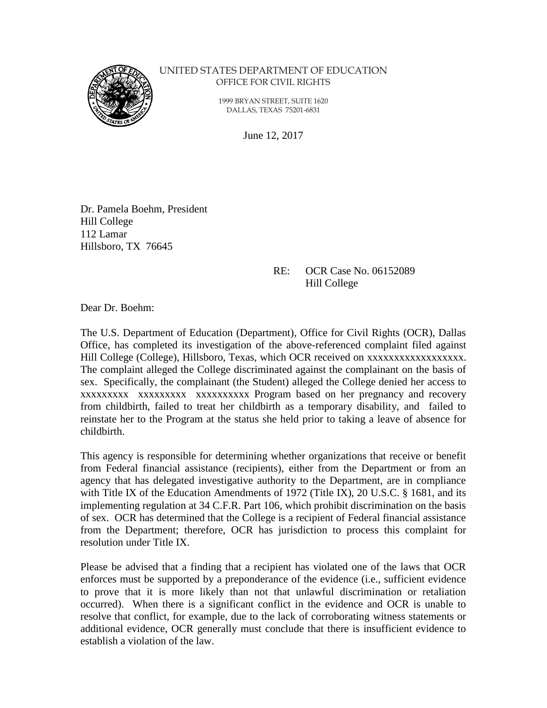

#### UNITED STATES DEPARTMENT OF EDUCATION OFFICE FOR CIVIL RIGHTS

 1999 BRYAN STREET, SUITE 1620 DALLAS, TEXAS 75201-6831

June 12, 2017

Dr. Pamela Boehm, President Hill College 112 Lamar Hillsboro, TX 76645

#### RE: OCR Case No. 06152089 Hill College

Dear Dr. Boehm:

The U.S. Department of Education (Department), Office for Civil Rights (OCR), Dallas Office, has completed its investigation of the above-referenced complaint filed against Hill College (College), Hillsboro, Texas, which OCR received on xxxxxxxxxxxxxxxxxx. The complaint alleged the College discriminated against the complainant on the basis of sex. Specifically, the complainant (the Student) alleged the College denied her access to xxxxxxxxx xxxxxxxxx xxxxxxxxxx Program based on her pregnancy and recovery from childbirth, failed to treat her childbirth as a temporary disability, and failed to reinstate her to the Program at the status she held prior to taking a leave of absence for childbirth.

This agency is responsible for determining whether organizations that receive or benefit from Federal financial assistance (recipients), either from the Department or from an agency that has delegated investigative authority to the Department, are in compliance with Title IX of the Education Amendments of 1972 (Title IX), 20 U.S.C. § 1681, and its implementing regulation at 34 C.F.R. Part 106, which prohibit discrimination on the basis of sex. OCR has determined that the College is a recipient of Federal financial assistance from the Department; therefore, OCR has jurisdiction to process this complaint for resolution under Title IX.

Please be advised that a finding that a recipient has violated one of the laws that OCR enforces must be supported by a preponderance of the evidence (i.e., sufficient evidence to prove that it is more likely than not that unlawful discrimination or retaliation occurred). When there is a significant conflict in the evidence and OCR is unable to resolve that conflict, for example, due to the lack of corroborating witness statements or additional evidence, OCR generally must conclude that there is insufficient evidence to establish a violation of the law.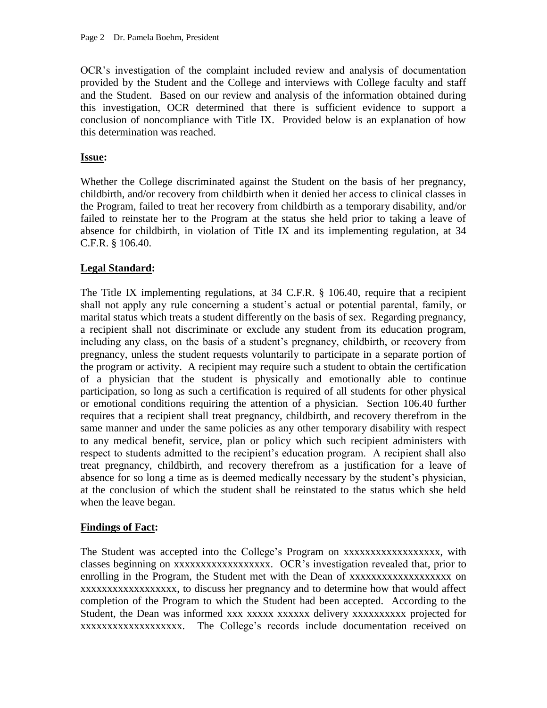OCR's investigation of the complaint included review and analysis of documentation provided by the Student and the College and interviews with College faculty and staff and the Student. Based on our review and analysis of the information obtained during this investigation, OCR determined that there is sufficient evidence to support a conclusion of noncompliance with Title IX. Provided below is an explanation of how this determination was reached.

### **Issue:**

Whether the College discriminated against the Student on the basis of her pregnancy, childbirth, and/or recovery from childbirth when it denied her access to clinical classes in the Program, failed to treat her recovery from childbirth as a temporary disability, and/or failed to reinstate her to the Program at the status she held prior to taking a leave of absence for childbirth, in violation of Title IX and its implementing regulation, at 34 C.F.R. § 106.40.

# **Legal Standard:**

The Title IX implementing regulations, at 34 C.F.R. § 106.40, require that a recipient shall not apply any rule concerning a student's actual or potential parental, family, or marital status which treats a student differently on the basis of sex. Regarding pregnancy, a recipient shall not discriminate or exclude any student from its education program, including any class, on the basis of a student's pregnancy, childbirth, or recovery from pregnancy, unless the student requests voluntarily to participate in a separate portion of the program or activity. A recipient may require such a student to obtain the certification of a physician that the student is physically and emotionally able to continue participation, so long as such a certification is required of all students for other physical or emotional conditions requiring the attention of a physician. Section 106.40 further requires that a recipient shall treat pregnancy, childbirth, and recovery therefrom in the same manner and under the same policies as any other temporary disability with respect to any medical benefit, service, plan or policy which such recipient administers with respect to students admitted to the recipient's education program. A recipient shall also treat pregnancy, childbirth, and recovery therefrom as a justification for a leave of absence for so long a time as is deemed medically necessary by the student's physician, at the conclusion of which the student shall be reinstated to the status which she held when the leave began.

### **Findings of Fact:**

The Student was accepted into the College's Program on xxxxxxxxxxxxxxxxxx, with classes beginning on xxxxxxxxxxxxxxxxxx. OCR's investigation revealed that, prior to enrolling in the Program, the Student met with the Dean of xxxxxxxxxxxxxxxxxxx on xxxxxxxxxxxxxxxxxx, to discuss her pregnancy and to determine how that would affect completion of the Program to which the Student had been accepted. According to the Student, the Dean was informed xxx xxxxxx xxxxxx delivery xxxxxxxxxxx projected for xxxxxxxxxxxxxxxxxxx. The College's records include documentation received on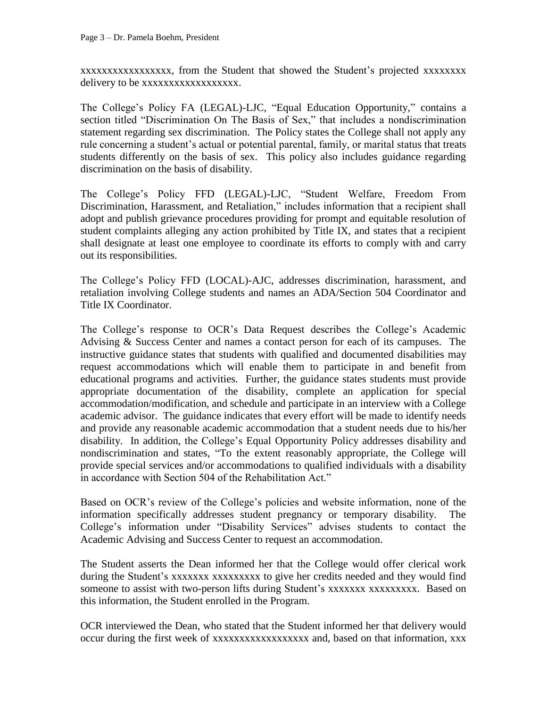xxxxxxxxxxxxxxxxx, from the Student that showed the Student's projected xxxxxxxx delivery to be xxxxxxxxxxxxxxxxxx.

The College's Policy FA (LEGAL)-LJC, "Equal Education Opportunity," contains a section titled "Discrimination On The Basis of Sex," that includes a nondiscrimination statement regarding sex discrimination. The Policy states the College shall not apply any rule concerning a student's actual or potential parental, family, or marital status that treats students differently on the basis of sex. This policy also includes guidance regarding discrimination on the basis of disability.

The College's Policy FFD (LEGAL)-LJC, "Student Welfare, Freedom From Discrimination, Harassment, and Retaliation," includes information that a recipient shall adopt and publish grievance procedures providing for prompt and equitable resolution of student complaints alleging any action prohibited by Title IX, and states that a recipient shall designate at least one employee to coordinate its efforts to comply with and carry out its responsibilities.

The College's Policy FFD (LOCAL)-AJC, addresses discrimination, harassment, and retaliation involving College students and names an ADA/Section 504 Coordinator and Title IX Coordinator.

The College's response to OCR's Data Request describes the College's Academic Advising & Success Center and names a contact person for each of its campuses. The instructive guidance states that students with qualified and documented disabilities may request accommodations which will enable them to participate in and benefit from educational programs and activities. Further, the guidance states students must provide appropriate documentation of the disability, complete an application for special accommodation/modification, and schedule and participate in an interview with a College academic advisor. The guidance indicates that every effort will be made to identify needs and provide any reasonable academic accommodation that a student needs due to his/her disability. In addition, the College's Equal Opportunity Policy addresses disability and nondiscrimination and states, "To the extent reasonably appropriate, the College will provide special services and/or accommodations to qualified individuals with a disability in accordance with Section 504 of the Rehabilitation Act."

Based on OCR's review of the College's policies and website information, none of the information specifically addresses student pregnancy or temporary disability. The College's information under "Disability Services" advises students to contact the Academic Advising and Success Center to request an accommodation.

The Student asserts the Dean informed her that the College would offer clerical work during the Student's xxxxxxxx xxxxxxxxx to give her credits needed and they would find someone to assist with two-person lifts during Student's xxxxxxxxxxxxxxxx. Based on this information, the Student enrolled in the Program.

OCR interviewed the Dean, who stated that the Student informed her that delivery would occur during the first week of xxxxxxxxxxxxxxxxxx and, based on that information, xxx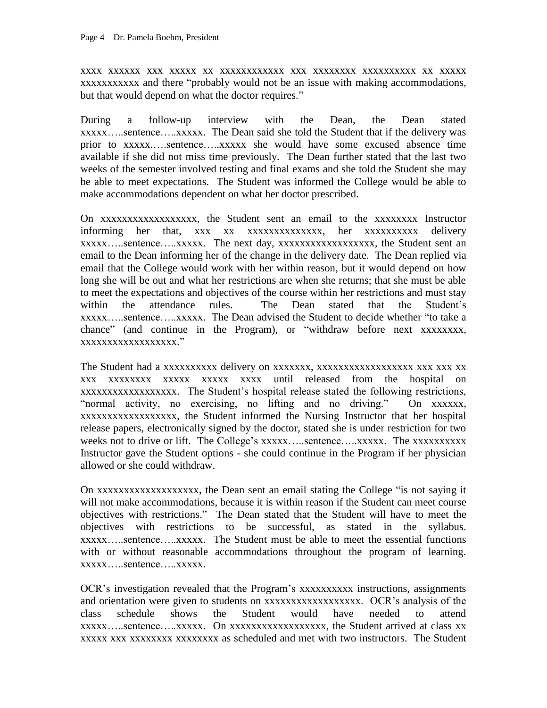xxxx xxxxxx xxx xxxxx xx xxxxxxxxxxxx xxx xxxxxxxx xxxxxxxxxx xx xxxxx xxxxxxxxxxx and there "probably would not be an issue with making accommodations, but that would depend on what the doctor requires."

During a follow-up interview with the Dean, the Dean stated xxxxx…..sentence…..xxxxx. The Dean said she told the Student that if the delivery was prior to xxxxx.….sentence…..xxxxx she would have some excused absence time available if she did not miss time previously. The Dean further stated that the last two weeks of the semester involved testing and final exams and she told the Student she may be able to meet expectations. The Student was informed the College would be able to make accommodations dependent on what her doctor prescribed.

On xxxxxxxxxxxxxxxxxx, the Student sent an email to the xxxxxxxx Instructor informing her that, xxx xx xxxxxxxxxxxxxx, her xxxxxxxxxx delivery xxxxx…..sentence…..xxxxx. The next day, xxxxxxxxxxxxxxxxxx, the Student sent an email to the Dean informing her of the change in the delivery date. The Dean replied via email that the College would work with her within reason, but it would depend on how long she will be out and what her restrictions are when she returns; that she must be able to meet the expectations and objectives of the course within her restrictions and must stay within the attendance rules. The Dean stated that the Student's xxxxx…..sentence…..xxxxx. The Dean advised the Student to decide whether "to take a chance" (and continue in the Program), or "withdraw before next xxxxxxxx, xxxxxxxxxxxxxxxxxx."

The Student had a xxxxxxxxxx delivery on xxxxxxx, xxxxxxxxxxxxxxxxxx xxx xxx xx xxx xxxxxxxx xxxxx xxxxx xxxx until released from the hospital on xxxxxxxxxxxxxxxxxx. The Student's hospital release stated the following restrictions, "normal activity, no exercising, no lifting and no driving." On xxxxxx, xxxxxxxxxxxxxxxxxx, the Student informed the Nursing Instructor that her hospital release papers, electronically signed by the doctor, stated she is under restriction for two weeks not to drive or lift. The College's xxxxx.....sentence.....xxxxx. The xxxxxxxxxxx Instructor gave the Student options - she could continue in the Program if her physician allowed or she could withdraw.

On xxxxxxxxxxxxxxxxxxx, the Dean sent an email stating the College "is not saying it will not make accommodations, because it is within reason if the Student can meet course objectives with restrictions." The Dean stated that the Student will have to meet the objectives with restrictions to be successful, as stated in the syllabus. xxxxx…..sentence…..xxxxx. The Student must be able to meet the essential functions with or without reasonable accommodations throughout the program of learning. xxxxx…..sentence…..xxxxx.

OCR's investigation revealed that the Program's xxxxxxxxxx instructions, assignments and orientation were given to students on xxxxxxxxxxxxxxxxxx. OCR's analysis of the class schedule shows the Student would have needed to attend xxxxx…..sentence…..xxxxx. On xxxxxxxxxxxxxxxxxx, the Student arrived at class xx xxxxx xxx xxxxxxxx xxxxxxxx as scheduled and met with two instructors. The Student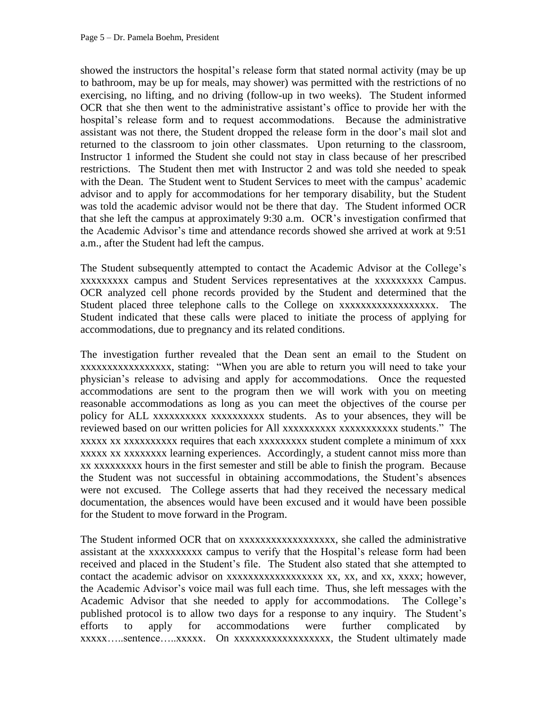showed the instructors the hospital's release form that stated normal activity (may be up to bathroom, may be up for meals, may shower) was permitted with the restrictions of no exercising, no lifting, and no driving (follow-up in two weeks). The Student informed OCR that she then went to the administrative assistant's office to provide her with the hospital's release form and to request accommodations. Because the administrative assistant was not there, the Student dropped the release form in the door's mail slot and returned to the classroom to join other classmates. Upon returning to the classroom, Instructor 1 informed the Student she could not stay in class because of her prescribed restrictions. The Student then met with Instructor 2 and was told she needed to speak with the Dean. The Student went to Student Services to meet with the campus' academic advisor and to apply for accommodations for her temporary disability, but the Student was told the academic advisor would not be there that day. The Student informed OCR that she left the campus at approximately 9:30 a.m. OCR's investigation confirmed that the Academic Advisor's time and attendance records showed she arrived at work at 9:51 a.m., after the Student had left the campus.

The Student subsequently attempted to contact the Academic Advisor at the College's xxxxxxxxx campus and Student Services representatives at the xxxxxxxxx Campus. OCR analyzed cell phone records provided by the Student and determined that the Student placed three telephone calls to the College on xxxxxxxxxxxxxxxxxx. The Student indicated that these calls were placed to initiate the process of applying for accommodations, due to pregnancy and its related conditions.

The investigation further revealed that the Dean sent an email to the Student on xxxxxxxxxxxxxxxxx, stating: "When you are able to return you will need to take your physician's release to advising and apply for accommodations. Once the requested accommodations are sent to the program then we will work with you on meeting reasonable accommodations as long as you can meet the objectives of the course per policy for ALL xxxxxxxxxx xxxxxxxxxx students. As to your absences, they will be reviewed based on our written policies for All xxxxxxxxxx xxxxxxxxxxx students." The xxxxx xx xxxxxxxxxx requires that each xxxxxxxxx student complete a minimum of xxx xxxxx xx xxxxxxxx learning experiences. Accordingly, a student cannot miss more than xx xxxxxxxxx hours in the first semester and still be able to finish the program. Because the Student was not successful in obtaining accommodations, the Student's absences were not excused. The College asserts that had they received the necessary medical documentation, the absences would have been excused and it would have been possible for the Student to move forward in the Program.

The Student informed OCR that on xxxxxxxxxxxxxxxxxx, she called the administrative assistant at the xxxxxxxxxx campus to verify that the Hospital's release form had been received and placed in the Student's file. The Student also stated that she attempted to contact the academic advisor on xxxxxxxxxxxxxxxxxxxxxx, xx, and xx, xxxx; however, the Academic Advisor's voice mail was full each time. Thus, she left messages with the Academic Advisor that she needed to apply for accommodations. The College's published protocol is to allow two days for a response to any inquiry. The Student's efforts to apply for accommodations were further complicated by xxxxx…..sentence…..xxxxx. On xxxxxxxxxxxxxxxxxx, the Student ultimately made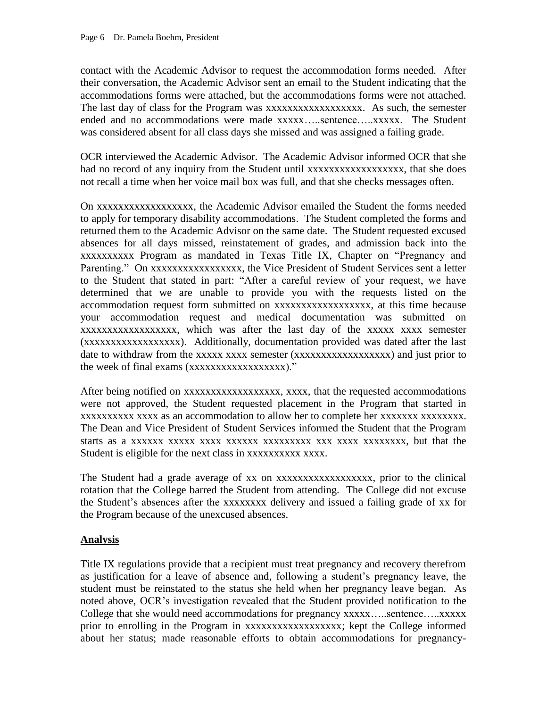contact with the Academic Advisor to request the accommodation forms needed. After their conversation, the Academic Advisor sent an email to the Student indicating that the accommodations forms were attached, but the accommodations forms were not attached. The last day of class for the Program was xxxxxxxxxxxxxxxxxx. As such, the semester ended and no accommodations were made xxxxx…..sentence…..xxxxx. The Student was considered absent for all class days she missed and was assigned a failing grade.

OCR interviewed the Academic Advisor. The Academic Advisor informed OCR that she had no record of any inquiry from the Student until xxxxxxxxxxxxxxxxxxxxx, that she does not recall a time when her voice mail box was full, and that she checks messages often.

On xxxxxxxxxxxxxxxxxx, the Academic Advisor emailed the Student the forms needed to apply for temporary disability accommodations. The Student completed the forms and returned them to the Academic Advisor on the same date. The Student requested excused absences for all days missed, reinstatement of grades, and admission back into the xxxxxxxxxx Program as mandated in Texas Title IX, Chapter on "Pregnancy and Parenting." On xxxxxxxxxxxxxxxxxx, the Vice President of Student Services sent a letter to the Student that stated in part: "After a careful review of your request, we have determined that we are unable to provide you with the requests listed on the accommodation request form submitted on xxxxxxxxxxxxxxxxxx, at this time because your accommodation request and medical documentation was submitted on xxxxxxxxxxxxxxxxxx, which was after the last day of the xxxxx xxxx semester (xxxxxxxxxxxxxxxxxx). Additionally, documentation provided was dated after the last date to withdraw from the xxxxx xxxx semester (xxxxxxxxxxxxxxxxxxxxx) and just prior to the week of final exams (xxxxxxxxxxxxxxxxxx)."

After being notified on xxxxxxxxxxxxxxxxxx, xxxx, that the requested accommodations were not approved, the Student requested placement in the Program that started in xxxxxxxxxx xxxx as an accommodation to allow her to complete her xxxxxxx xxxxxxxx. The Dean and Vice President of Student Services informed the Student that the Program starts as a xxxxxx xxxxx xxxx xxxxxx xxxxxxxxx xxx xxxx xxxxxxxx, but that the Student is eligible for the next class in xxxxxxxxxx xxxx.

The Student had a grade average of xx on xxxxxxxxxxxxxxxxxxxx, prior to the clinical rotation that the College barred the Student from attending. The College did not excuse the Student's absences after the xxxxxxxx delivery and issued a failing grade of xx for the Program because of the unexcused absences.

# **Analysis**

Title IX regulations provide that a recipient must treat pregnancy and recovery therefrom as justification for a leave of absence and, following a student's pregnancy leave, the student must be reinstated to the status she held when her pregnancy leave began. As noted above, OCR's investigation revealed that the Student provided notification to the College that she would need accommodations for pregnancy xxxxx…..sentence…..xxxxx prior to enrolling in the Program in xxxxxxxxxxxxxxxxxxx; kept the College informed about her status; made reasonable efforts to obtain accommodations for pregnancy-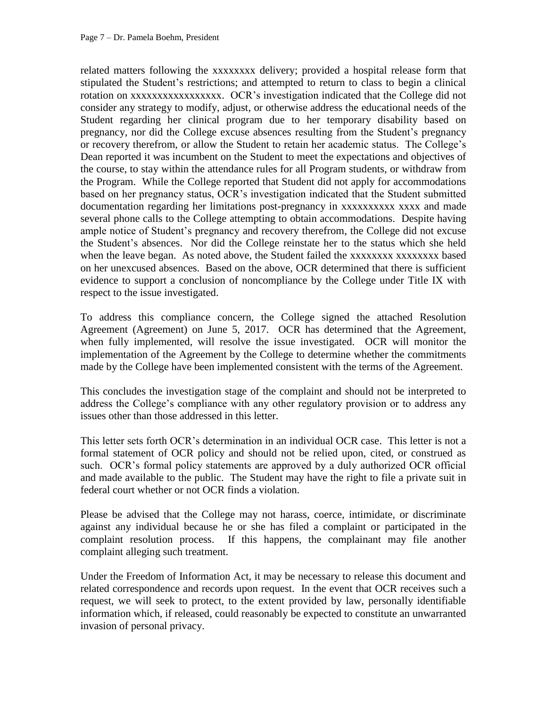related matters following the xxxxxxxx delivery; provided a hospital release form that stipulated the Student's restrictions; and attempted to return to class to begin a clinical rotation on xxxxxxxxxxxxxxxxx. OCR's investigation indicated that the College did not consider any strategy to modify, adjust, or otherwise address the educational needs of the Student regarding her clinical program due to her temporary disability based on pregnancy, nor did the College excuse absences resulting from the Student's pregnancy or recovery therefrom, or allow the Student to retain her academic status. The College's Dean reported it was incumbent on the Student to meet the expectations and objectives of the course, to stay within the attendance rules for all Program students, or withdraw from the Program. While the College reported that Student did not apply for accommodations based on her pregnancy status, OCR's investigation indicated that the Student submitted documentation regarding her limitations post-pregnancy in xxxxxxxxxx xxxx and made several phone calls to the College attempting to obtain accommodations. Despite having ample notice of Student's pregnancy and recovery therefrom, the College did not excuse the Student's absences. Nor did the College reinstate her to the status which she held when the leave began. As noted above, the Student failed the xxxxxxxxx xxxxxxxx based on her unexcused absences. Based on the above, OCR determined that there is sufficient evidence to support a conclusion of noncompliance by the College under Title IX with respect to the issue investigated.

To address this compliance concern, the College signed the attached Resolution Agreement (Agreement) on June 5, 2017. OCR has determined that the Agreement, when fully implemented, will resolve the issue investigated. OCR will monitor the implementation of the Agreement by the College to determine whether the commitments made by the College have been implemented consistent with the terms of the Agreement.

This concludes the investigation stage of the complaint and should not be interpreted to address the College's compliance with any other regulatory provision or to address any issues other than those addressed in this letter.

This letter sets forth OCR's determination in an individual OCR case. This letter is not a formal statement of OCR policy and should not be relied upon, cited, or construed as such. OCR's formal policy statements are approved by a duly authorized OCR official and made available to the public. The Student may have the right to file a private suit in federal court whether or not OCR finds a violation.

Please be advised that the College may not harass, coerce, intimidate, or discriminate against any individual because he or she has filed a complaint or participated in the complaint resolution process. If this happens, the complainant may file another complaint alleging such treatment.

Under the Freedom of Information Act, it may be necessary to release this document and related correspondence and records upon request. In the event that OCR receives such a request, we will seek to protect, to the extent provided by law, personally identifiable information which, if released, could reasonably be expected to constitute an unwarranted invasion of personal privacy.